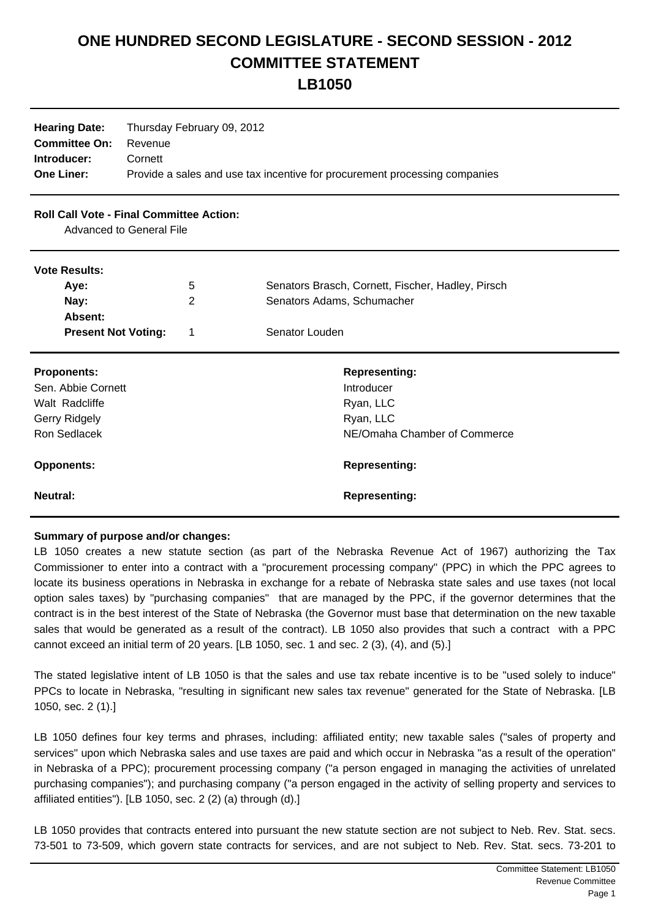## **ONE HUNDRED SECOND LEGISLATURE - SECOND SESSION - 2012 COMMITTEE STATEMENT**

**LB1050**

| <b>Hearing Date:</b><br><b>Committee On:</b><br>Introducer:<br><b>One Liner:</b> | Thursday February 09, 2012<br>Revenue<br>Cornett<br>Provide a sales and use tax incentive for procurement processing companies |   |                                                   |
|----------------------------------------------------------------------------------|--------------------------------------------------------------------------------------------------------------------------------|---|---------------------------------------------------|
| <b>Roll Call Vote - Final Committee Action:</b><br>Advanced to General File      |                                                                                                                                |   |                                                   |
| <b>Vote Results:</b>                                                             |                                                                                                                                |   |                                                   |
| Aye:                                                                             |                                                                                                                                | 5 | Senators Brasch, Cornett, Fischer, Hadley, Pirsch |
| Nay:                                                                             |                                                                                                                                | 2 | Senators Adams, Schumacher                        |
| Absent:                                                                          |                                                                                                                                |   |                                                   |
| <b>Present Not Voting:</b>                                                       |                                                                                                                                | 1 | Senator Louden                                    |
| <b>Proponents:</b>                                                               |                                                                                                                                |   | <b>Representing:</b>                              |
| Sen. Abbie Cornett                                                               |                                                                                                                                |   | Introducer                                        |
| Walt Radcliffe                                                                   |                                                                                                                                |   | Ryan, LLC                                         |
| Gerry Ridgely                                                                    |                                                                                                                                |   | Ryan, LLC                                         |
| <b>Ron Sedlacek</b>                                                              |                                                                                                                                |   | NE/Omaha Chamber of Commerce                      |
| <b>Opponents:</b>                                                                |                                                                                                                                |   | <b>Representing:</b>                              |
| <b>Neutral:</b>                                                                  |                                                                                                                                |   | <b>Representing:</b>                              |

## **Summary of purpose and/or changes:**

LB 1050 creates a new statute section (as part of the Nebraska Revenue Act of 1967) authorizing the Tax Commissioner to enter into a contract with a "procurement processing company" (PPC) in which the PPC agrees to locate its business operations in Nebraska in exchange for a rebate of Nebraska state sales and use taxes (not local option sales taxes) by "purchasing companies" that are managed by the PPC, if the governor determines that the contract is in the best interest of the State of Nebraska (the Governor must base that determination on the new taxable sales that would be generated as a result of the contract). LB 1050 also provides that such a contract with a PPC cannot exceed an initial term of 20 years. [LB 1050, sec. 1 and sec. 2 (3), (4), and (5).]

The stated legislative intent of LB 1050 is that the sales and use tax rebate incentive is to be "used solely to induce" PPCs to locate in Nebraska, "resulting in significant new sales tax revenue" generated for the State of Nebraska. [LB 1050, sec. 2 (1).]

LB 1050 defines four key terms and phrases, including: affiliated entity; new taxable sales ("sales of property and services" upon which Nebraska sales and use taxes are paid and which occur in Nebraska "as a result of the operation" in Nebraska of a PPC); procurement processing company ("a person engaged in managing the activities of unrelated purchasing companies"); and purchasing company ("a person engaged in the activity of selling property and services to affiliated entities"). [LB 1050, sec. 2 (2) (a) through (d).]

LB 1050 provides that contracts entered into pursuant the new statute section are not subject to Neb. Rev. Stat. secs. 73-501 to 73-509, which govern state contracts for services, and are not subject to Neb. Rev. Stat. secs. 73-201 to